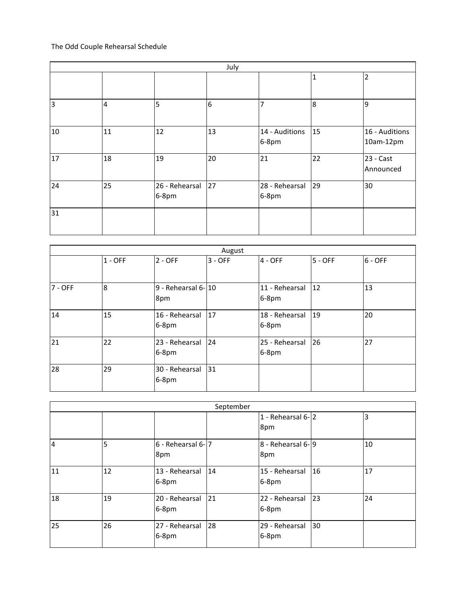## The Odd Couple Rehearsal Schedule

| July           |                |                            |                 |                         |    |                             |
|----------------|----------------|----------------------------|-----------------|-------------------------|----|-----------------------------|
|                |                |                            |                 |                         | 1  | $\overline{2}$              |
| $\overline{3}$ | $\overline{4}$ | 5                          | $6\overline{6}$ | 7                       | 8  | $\overline{9}$              |
| 10             | 11             | 12                         | 13              | 14 - Auditions<br>6-8pm | 15 | 16 - Auditions<br>10am-12pm |
| 17             | 18             | 19                         | 20              | 21                      | 22 | 23 - Cast<br>Announced      |
| 24             | 25             | 26 - Rehearsal 27<br>6-8pm |                 | 28 - Rehearsal<br>6-8pm | 29 | 30                          |
| 31             |                |                            |                 |                         |    |                             |

| August  |           |                             |           |                                 |           |           |  |
|---------|-----------|-----------------------------|-----------|---------------------------------|-----------|-----------|--|
|         | $1 - OFF$ | $2 - OFF$                   | $3 - OFF$ | $4 - OFF$                       | $5 - OFF$ | $6 - OFF$ |  |
| 7 - OFF | 8         | 9 - Rehearsal 6-10<br>8pm   |           | 11 - Rehearsal   12<br>$6-8$ pm |           | 13        |  |
| 14      | 15        | l 16 - Rehearsal<br>$6-8pm$ | 17        | 18 - Rehearsal<br>$6-8$ pm      | 19        | 20        |  |
| 21      | 22        | 23 - Rehearsal<br>$6-8pm$   | 24        | 25 - Rehearsal<br>$6-8$ pm      | <b>26</b> | 27        |  |
| 28      | 29        | 30 - Rehearsal<br>6-8pm     | 31        |                                 |           |           |  |

| September      |    |                           |    |                                |    |    |
|----------------|----|---------------------------|----|--------------------------------|----|----|
|                |    |                           |    | 1 - Rehearsal $6$ - $2$<br>8pm |    | 3  |
| $\overline{4}$ | 5  | 6 - Rehearsal 6-7<br>8pm  |    | 8 - Rehearsal 6-9<br>8pm       |    | 10 |
| 11             | 12 | 13 - Rehearsal<br>$6-8pm$ | 14 | 15 - Rehearsal<br>$6-8$ pm     | 16 | 17 |
| 18             | 19 | 20 - Rehearsal<br>$6-8pm$ | 21 | 22 - Rehearsal<br>6-8pm        | 23 | 24 |
| 25             | 26 | 27 - Rehearsal<br>$6-8pm$ | 28 | 29 - Rehearsal<br>$6-8pm$      | 30 |    |